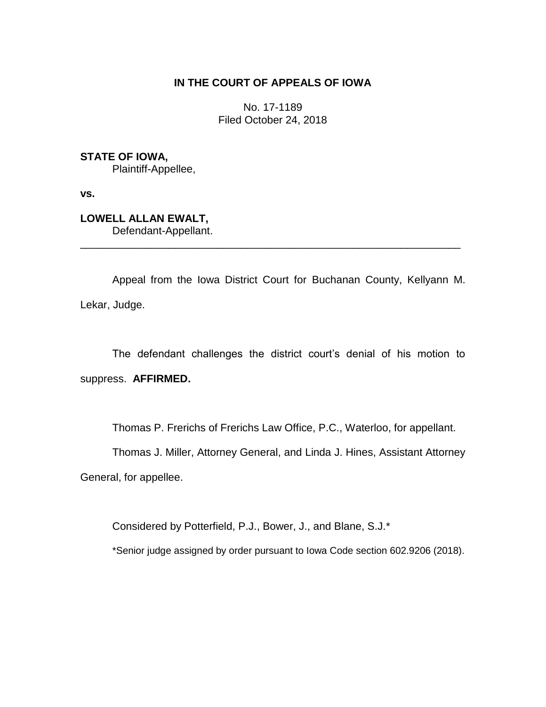# **IN THE COURT OF APPEALS OF IOWA**

No. 17-1189 Filed October 24, 2018

# **STATE OF IOWA,**

Plaintiff-Appellee,

**vs.**

# **LOWELL ALLAN EWALT,** Defendant-Appellant.

Appeal from the Iowa District Court for Buchanan County, Kellyann M. Lekar, Judge.

\_\_\_\_\_\_\_\_\_\_\_\_\_\_\_\_\_\_\_\_\_\_\_\_\_\_\_\_\_\_\_\_\_\_\_\_\_\_\_\_\_\_\_\_\_\_\_\_\_\_\_\_\_\_\_\_\_\_\_\_\_\_\_\_

The defendant challenges the district court's denial of his motion to suppress. **AFFIRMED.**

Thomas P. Frerichs of Frerichs Law Office, P.C., Waterloo, for appellant.

Thomas J. Miller, Attorney General, and Linda J. Hines, Assistant Attorney

General, for appellee.

Considered by Potterfield, P.J., Bower, J., and Blane, S.J.\*

\*Senior judge assigned by order pursuant to Iowa Code section 602.9206 (2018).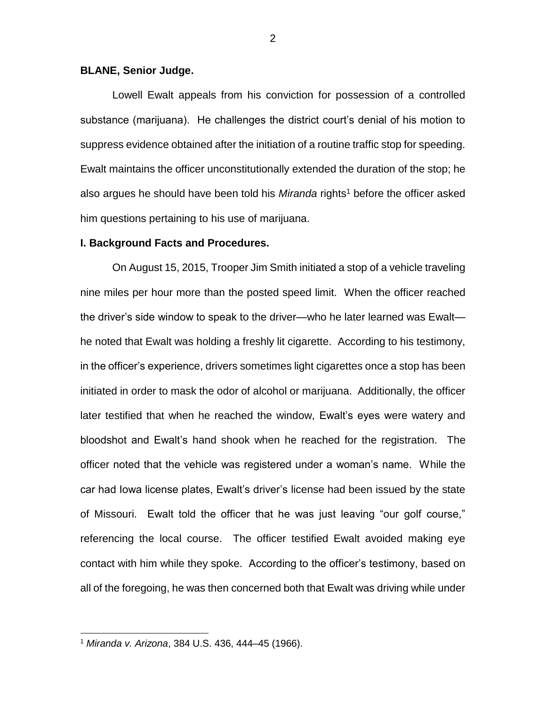### **BLANE, Senior Judge.**

Lowell Ewalt appeals from his conviction for possession of a controlled substance (marijuana). He challenges the district court's denial of his motion to suppress evidence obtained after the initiation of a routine traffic stop for speeding. Ewalt maintains the officer unconstitutionally extended the duration of the stop; he also argues he should have been told his *Miranda* rights<sup>1</sup> before the officer asked him questions pertaining to his use of marijuana.

#### **I. Background Facts and Procedures.**

On August 15, 2015, Trooper Jim Smith initiated a stop of a vehicle traveling nine miles per hour more than the posted speed limit. When the officer reached the driver's side window to speak to the driver—who he later learned was Ewalt he noted that Ewalt was holding a freshly lit cigarette. According to his testimony, in the officer's experience, drivers sometimes light cigarettes once a stop has been initiated in order to mask the odor of alcohol or marijuana. Additionally, the officer later testified that when he reached the window, Ewalt's eyes were watery and bloodshot and Ewalt's hand shook when he reached for the registration. The officer noted that the vehicle was registered under a woman's name. While the car had Iowa license plates, Ewalt's driver's license had been issued by the state of Missouri. Ewalt told the officer that he was just leaving "our golf course," referencing the local course. The officer testified Ewalt avoided making eye contact with him while they spoke. According to the officer's testimony, based on all of the foregoing, he was then concerned both that Ewalt was driving while under

 $\overline{a}$ 

<sup>1</sup> *Miranda v. Arizona*, 384 U.S. 436, 444–45 (1966).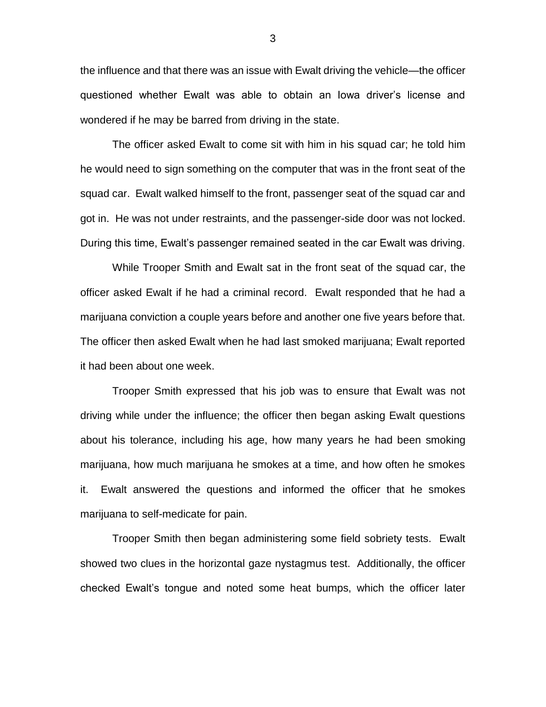the influence and that there was an issue with Ewalt driving the vehicle—the officer questioned whether Ewalt was able to obtain an Iowa driver's license and wondered if he may be barred from driving in the state.

The officer asked Ewalt to come sit with him in his squad car; he told him he would need to sign something on the computer that was in the front seat of the squad car. Ewalt walked himself to the front, passenger seat of the squad car and got in. He was not under restraints, and the passenger-side door was not locked. During this time, Ewalt's passenger remained seated in the car Ewalt was driving.

While Trooper Smith and Ewalt sat in the front seat of the squad car, the officer asked Ewalt if he had a criminal record. Ewalt responded that he had a marijuana conviction a couple years before and another one five years before that. The officer then asked Ewalt when he had last smoked marijuana; Ewalt reported it had been about one week.

Trooper Smith expressed that his job was to ensure that Ewalt was not driving while under the influence; the officer then began asking Ewalt questions about his tolerance, including his age, how many years he had been smoking marijuana, how much marijuana he smokes at a time, and how often he smokes it. Ewalt answered the questions and informed the officer that he smokes marijuana to self-medicate for pain.

Trooper Smith then began administering some field sobriety tests. Ewalt showed two clues in the horizontal gaze nystagmus test. Additionally, the officer checked Ewalt's tongue and noted some heat bumps, which the officer later

3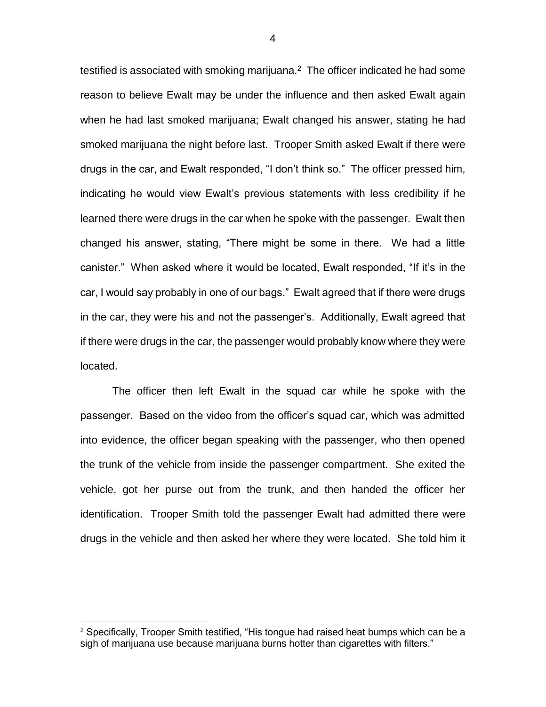testified is associated with smoking marijuana. $2$  The officer indicated he had some reason to believe Ewalt may be under the influence and then asked Ewalt again when he had last smoked marijuana; Ewalt changed his answer, stating he had smoked marijuana the night before last. Trooper Smith asked Ewalt if there were drugs in the car, and Ewalt responded, "I don't think so." The officer pressed him, indicating he would view Ewalt's previous statements with less credibility if he learned there were drugs in the car when he spoke with the passenger. Ewalt then changed his answer, stating, "There might be some in there. We had a little canister." When asked where it would be located, Ewalt responded, "If it's in the car, I would say probably in one of our bags." Ewalt agreed that if there were drugs in the car, they were his and not the passenger's. Additionally, Ewalt agreed that if there were drugs in the car, the passenger would probably know where they were located.

The officer then left Ewalt in the squad car while he spoke with the passenger. Based on the video from the officer's squad car, which was admitted into evidence, the officer began speaking with the passenger, who then opened the trunk of the vehicle from inside the passenger compartment. She exited the vehicle, got her purse out from the trunk, and then handed the officer her identification. Trooper Smith told the passenger Ewalt had admitted there were drugs in the vehicle and then asked her where they were located. She told him it

 $\overline{a}$ 

 $2$  Specifically, Trooper Smith testified, "His tongue had raised heat bumps which can be a sigh of marijuana use because marijuana burns hotter than cigarettes with filters."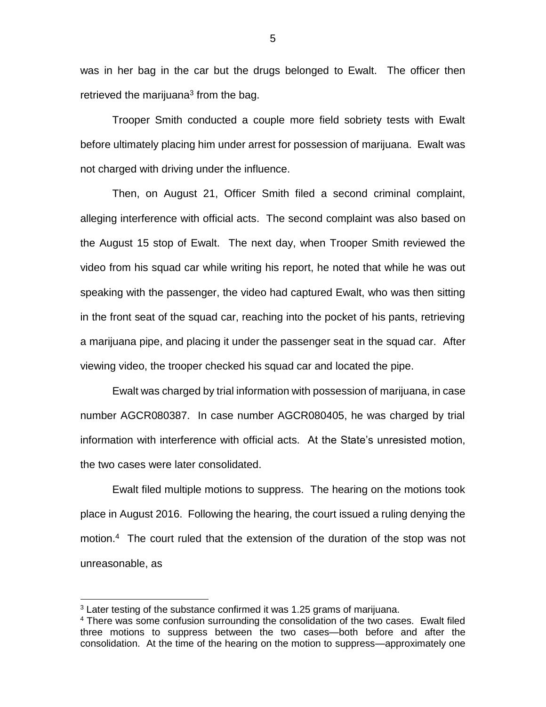was in her bag in the car but the drugs belonged to Ewalt. The officer then retrieved the marijuana<sup>3</sup> from the bag.

Trooper Smith conducted a couple more field sobriety tests with Ewalt before ultimately placing him under arrest for possession of marijuana. Ewalt was not charged with driving under the influence.

Then, on August 21, Officer Smith filed a second criminal complaint, alleging interference with official acts. The second complaint was also based on the August 15 stop of Ewalt. The next day, when Trooper Smith reviewed the video from his squad car while writing his report, he noted that while he was out speaking with the passenger, the video had captured Ewalt, who was then sitting in the front seat of the squad car, reaching into the pocket of his pants, retrieving a marijuana pipe, and placing it under the passenger seat in the squad car. After viewing video, the trooper checked his squad car and located the pipe.

Ewalt was charged by trial information with possession of marijuana, in case number AGCR080387. In case number AGCR080405, he was charged by trial information with interference with official acts. At the State's unresisted motion, the two cases were later consolidated.

Ewalt filed multiple motions to suppress. The hearing on the motions took place in August 2016. Following the hearing, the court issued a ruling denying the motion.<sup>4</sup> The court ruled that the extension of the duration of the stop was not unreasonable, as

 $\overline{a}$ 

 $3$  Later testing of the substance confirmed it was 1.25 grams of marijuana.

<sup>&</sup>lt;sup>4</sup> There was some confusion surrounding the consolidation of the two cases. Ewalt filed three motions to suppress between the two cases—both before and after the consolidation. At the time of the hearing on the motion to suppress—approximately one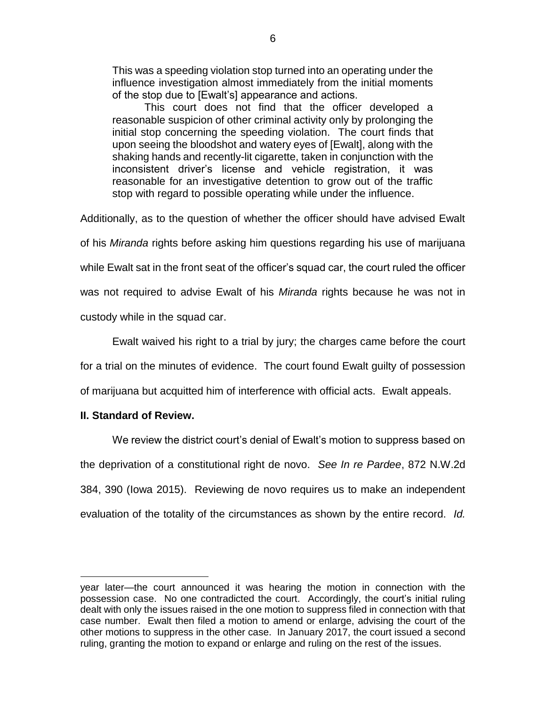This was a speeding violation stop turned into an operating under the influence investigation almost immediately from the initial moments of the stop due to [Ewalt's] appearance and actions.

This court does not find that the officer developed a reasonable suspicion of other criminal activity only by prolonging the initial stop concerning the speeding violation. The court finds that upon seeing the bloodshot and watery eyes of [Ewalt], along with the shaking hands and recently-lit cigarette, taken in conjunction with the inconsistent driver's license and vehicle registration, it was reasonable for an investigative detention to grow out of the traffic stop with regard to possible operating while under the influence.

Additionally, as to the question of whether the officer should have advised Ewalt

of his *Miranda* rights before asking him questions regarding his use of marijuana

while Ewalt sat in the front seat of the officer's squad car, the court ruled the officer

was not required to advise Ewalt of his *Miranda* rights because he was not in custody while in the squad car.

Ewalt waived his right to a trial by jury; the charges came before the court for a trial on the minutes of evidence. The court found Ewalt guilty of possession of marijuana but acquitted him of interference with official acts. Ewalt appeals.

### **II. Standard of Review.**

 $\overline{a}$ 

We review the district court's denial of Ewalt's motion to suppress based on the deprivation of a constitutional right de novo. *See In re Pardee*, 872 N.W.2d 384, 390 (Iowa 2015). Reviewing de novo requires us to make an independent evaluation of the totality of the circumstances as shown by the entire record. *Id.* 

year later—the court announced it was hearing the motion in connection with the possession case. No one contradicted the court. Accordingly, the court's initial ruling dealt with only the issues raised in the one motion to suppress filed in connection with that case number. Ewalt then filed a motion to amend or enlarge, advising the court of the other motions to suppress in the other case. In January 2017, the court issued a second ruling, granting the motion to expand or enlarge and ruling on the rest of the issues.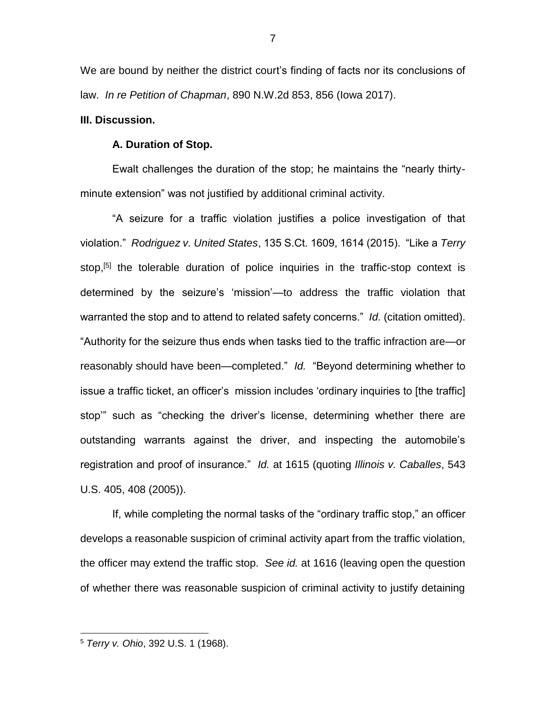We are bound by neither the district court's finding of facts nor its conclusions of law. *In re Petition of Chapman*, 890 N.W.2d 853, 856 (Iowa 2017).

### **III. Discussion.**

### **A. Duration of Stop.**

Ewalt challenges the duration of the stop; he maintains the "nearly thirtyminute extension" was not justified by additional criminal activity.

"A seizure for a traffic violation justifies a police investigation of that violation." *Rodriguez v. United States*, 135 S.Ct. 1609, 1614 (2015). "Like a *Terry*  stop,<sup>[5]</sup> the tolerable duration of police inquiries in the traffic-stop context is determined by the seizure's 'mission'—to address the traffic violation that warranted the stop and to attend to related safety concerns." *Id.* (citation omitted). "Authority for the seizure thus ends when tasks tied to the traffic infraction are—or reasonably should have been—completed." *Id.* "Beyond determining whether to issue a traffic ticket, an officer's mission includes 'ordinary inquiries to [the traffic] stop'" such as "checking the driver's license, determining whether there are outstanding warrants against the driver, and inspecting the automobile's registration and proof of insurance." *Id.* at 1615 (quoting *Illinois v. Caballes*, 543 U.S. 405, 408 (2005)).

If, while completing the normal tasks of the "ordinary traffic stop," an officer develops a reasonable suspicion of criminal activity apart from the traffic violation, the officer may extend the traffic stop. *See id.* at 1616 (leaving open the question of whether there was reasonable suspicion of criminal activity to justify detaining

 $\overline{a}$ 

7

<sup>5</sup> *Terry v. Ohio*, 392 U.S. 1 (1968).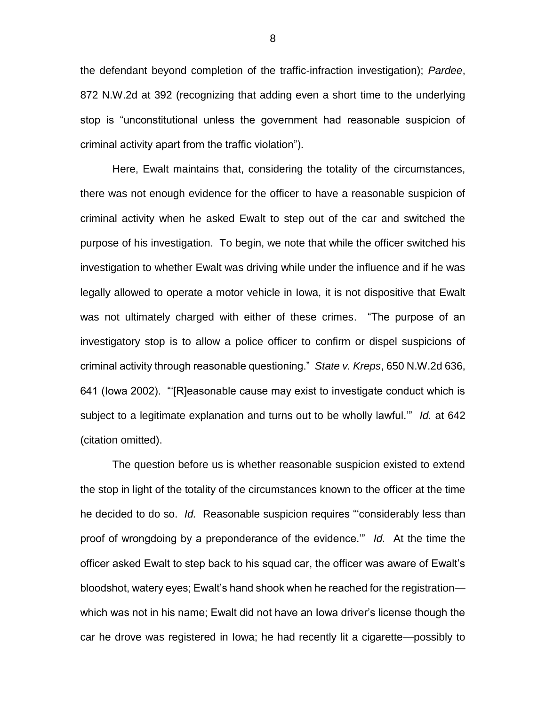the defendant beyond completion of the traffic-infraction investigation); *Pardee*, 872 N.W.2d at 392 (recognizing that adding even a short time to the underlying stop is "unconstitutional unless the government had reasonable suspicion of criminal activity apart from the traffic violation").

Here, Ewalt maintains that, considering the totality of the circumstances, there was not enough evidence for the officer to have a reasonable suspicion of criminal activity when he asked Ewalt to step out of the car and switched the purpose of his investigation. To begin, we note that while the officer switched his investigation to whether Ewalt was driving while under the influence and if he was legally allowed to operate a motor vehicle in Iowa, it is not dispositive that Ewalt was not ultimately charged with either of these crimes. "The purpose of an investigatory stop is to allow a police officer to confirm or dispel suspicions of criminal activity through reasonable questioning." *State v. Kreps*, 650 N.W.2d 636, 641 (Iowa 2002). "'[R]easonable cause may exist to investigate conduct which is subject to a legitimate explanation and turns out to be wholly lawful.'" *Id.* at 642 (citation omitted).

The question before us is whether reasonable suspicion existed to extend the stop in light of the totality of the circumstances known to the officer at the time he decided to do so. *Id.* Reasonable suspicion requires "'considerably less than proof of wrongdoing by a preponderance of the evidence.'" *Id.* At the time the officer asked Ewalt to step back to his squad car, the officer was aware of Ewalt's bloodshot, watery eyes; Ewalt's hand shook when he reached for the registration which was not in his name; Ewalt did not have an Iowa driver's license though the car he drove was registered in Iowa; he had recently lit a cigarette—possibly to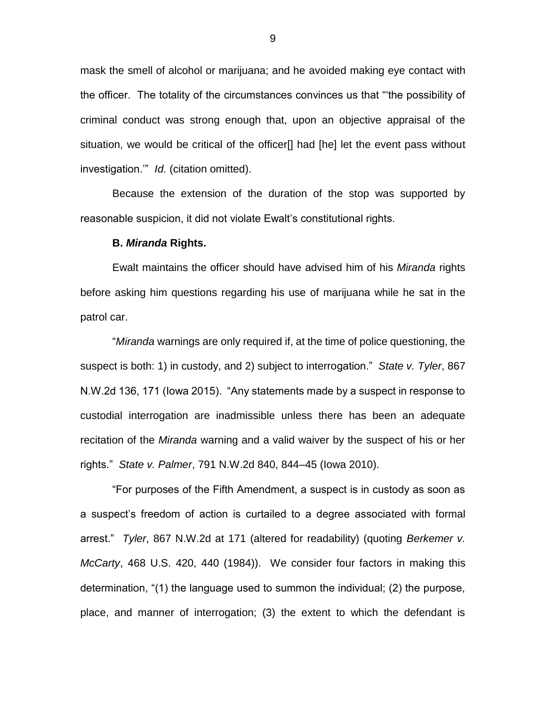mask the smell of alcohol or marijuana; and he avoided making eye contact with the officer. The totality of the circumstances convinces us that "'the possibility of criminal conduct was strong enough that, upon an objective appraisal of the situation, we would be critical of the officer[] had [he] let the event pass without investigation.'" *Id.* (citation omitted).

Because the extension of the duration of the stop was supported by reasonable suspicion, it did not violate Ewalt's constitutional rights.

#### **B.** *Miranda* **Rights.**

Ewalt maintains the officer should have advised him of his *Miranda* rights before asking him questions regarding his use of marijuana while he sat in the patrol car.

"*Miranda* warnings are only required if, at the time of police questioning, the suspect is both: 1) in custody, and 2) subject to interrogation." *State v. Tyler*, 867 N.W.2d 136, 171 (Iowa 2015). "Any statements made by a suspect in response to custodial interrogation are inadmissible unless there has been an adequate recitation of the *Miranda* warning and a valid waiver by the suspect of his or her rights." *State v. Palmer*, 791 N.W.2d 840, 844–45 (Iowa 2010).

"For purposes of the Fifth Amendment, a suspect is in custody as soon as a suspect's freedom of action is curtailed to a degree associated with formal arrest." *Tyler*, 867 N.W.2d at 171 (altered for readability) (quoting *Berkemer v. McCarty*, 468 U.S. 420, 440 (1984)). We consider four factors in making this determination, "(1) the language used to summon the individual; (2) the purpose, place, and manner of interrogation; (3) the extent to which the defendant is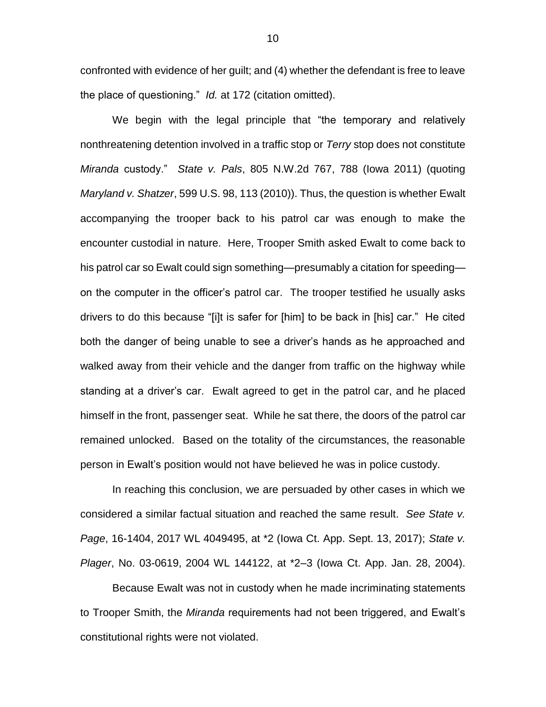confronted with evidence of her guilt; and (4) whether the defendant is free to leave the place of questioning." *Id.* at 172 (citation omitted).

We begin with the legal principle that "the temporary and relatively nonthreatening detention involved in a traffic stop or *Terry* stop does not constitute *Miranda* custody." *State v. Pals*, 805 N.W.2d 767, 788 (Iowa 2011) (quoting *Maryland v. Shatzer*, 599 U.S. 98, 113 (2010)). Thus, the question is whether Ewalt accompanying the trooper back to his patrol car was enough to make the encounter custodial in nature. Here, Trooper Smith asked Ewalt to come back to his patrol car so Ewalt could sign something—presumably a citation for speeding on the computer in the officer's patrol car. The trooper testified he usually asks drivers to do this because "[i]t is safer for [him] to be back in [his] car." He cited both the danger of being unable to see a driver's hands as he approached and walked away from their vehicle and the danger from traffic on the highway while standing at a driver's car. Ewalt agreed to get in the patrol car, and he placed himself in the front, passenger seat. While he sat there, the doors of the patrol car remained unlocked. Based on the totality of the circumstances, the reasonable person in Ewalt's position would not have believed he was in police custody.

In reaching this conclusion, we are persuaded by other cases in which we considered a similar factual situation and reached the same result. *See State v. Page*, 16-1404, 2017 WL 4049495, at \*2 (Iowa Ct. App. Sept. 13, 2017); *State v. Plager*, No. 03-0619, 2004 WL 144122, at \*2–3 (Iowa Ct. App. Jan. 28, 2004).

Because Ewalt was not in custody when he made incriminating statements to Trooper Smith, the *Miranda* requirements had not been triggered, and Ewalt's constitutional rights were not violated.